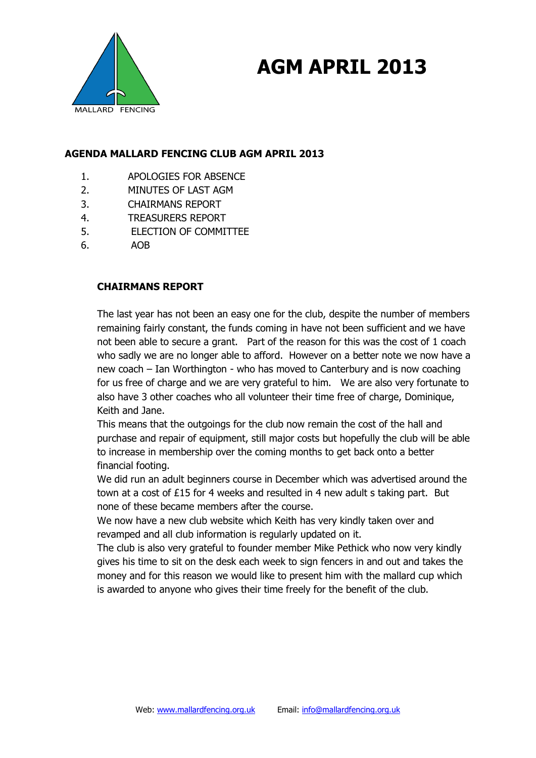

## **AGM APRIL 2013**

### **AGENDA MALLARD FENCING CLUB AGM APRIL 2013**

- 1. APOLOGIES FOR ABSENCE
- 2. MINUTES OF LAST AGM
- 3. CHAIRMANS REPORT
- 4. TREASURERS REPORT
- 5. ELECTION OF COMMITTEE
- 6. AOB

#### **CHAIRMANS REPORT**

The last year has not been an easy one for the club, despite the number of members remaining fairly constant, the funds coming in have not been sufficient and we have not been able to secure a grant. Part of the reason for this was the cost of 1 coach who sadly we are no longer able to afford. However on a better note we now have a new coach – Ian Worthington - who has moved to Canterbury and is now coaching for us free of charge and we are very grateful to him. We are also very fortunate to also have 3 other coaches who all volunteer their time free of charge, Dominique, Keith and Jane.

This means that the outgoings for the club now remain the cost of the hall and purchase and repair of equipment, still major costs but hopefully the club will be able to increase in membership over the coming months to get back onto a better financial footing.

We did run an adult beginners course in December which was advertised around the town at a cost of £15 for 4 weeks and resulted in 4 new adult s taking part. But none of these became members after the course.

We now have a new club website which Keith has very kindly taken over and revamped and all club information is regularly updated on it.

The club is also very grateful to founder member Mike Pethick who now very kindly gives his time to sit on the desk each week to sign fencers in and out and takes the money and for this reason we would like to present him with the mallard cup which is awarded to anyone who gives their time freely for the benefit of the club.